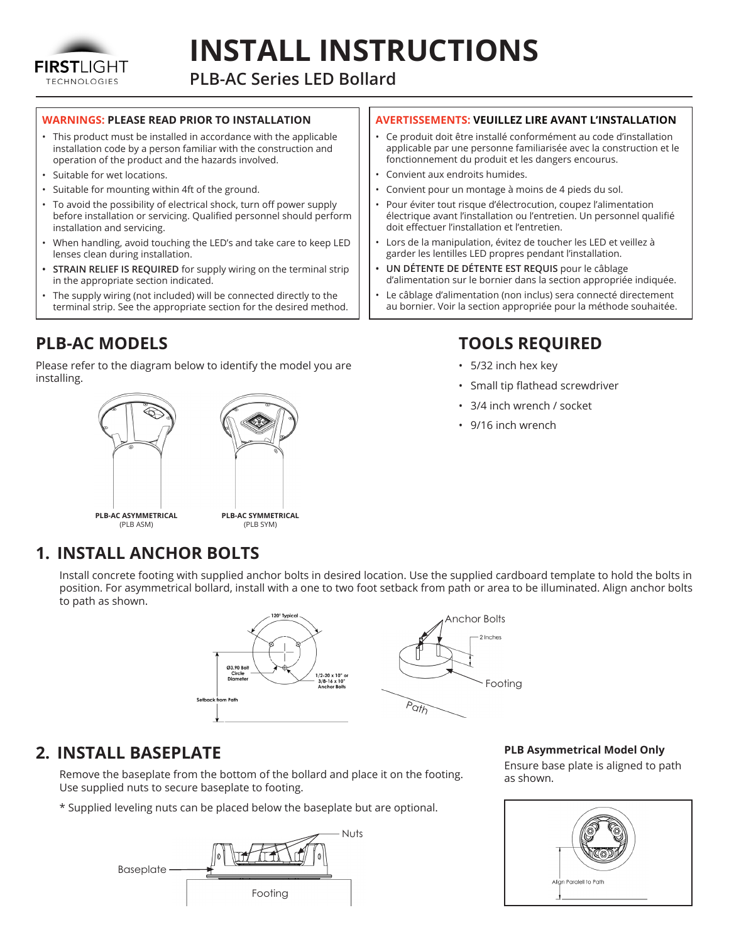

# **INSTALL INSTRUCTIONS**

**PLB-AC Series LED Bollard**

#### **WARNINGS: PLEASE READ PRIOR TO INSTALLATION**

- This product must be installed in accordance with the applicable installation code by a person familiar with the construction and operation of the product and the hazards involved.
- Suitable for wet locations.
- Suitable for mounting within 4ft of the ground.
- To avoid the possibility of electrical shock, turn off power supply before installation or servicing. Qualified personnel should perform installation and servicing.
- When handling, avoid touching the LED's and take care to keep LED lenses clean during installation.
- **• STRAIN RELIEF IS REQUIRED** for supply wiring on the terminal strip in the appropriate section indicated.
- The supply wiring (not included) will be connected directly to the terminal strip. See the appropriate section for the desired method.

#### **PLB-AC MODELS**

Please refer to the diagram below to identify the model you are installing.



#### **AVERTISSEMENTS: VEUILLEZ LIRE AVANT L'INSTALLATION**

- Ce produit doit être installé conformément au code d'installation applicable par une personne familiarisée avec la construction et le fonctionnement du produit et les dangers encourus.
- Convient aux endroits humides.
- Convient pour un montage à moins de 4 pieds du sol.
- Pour éviter tout risque d'électrocution, coupez l'alimentation électrique avant l'installation ou l'entretien. Un personnel qualifié doit effectuer l'installation et l'entretien.
- Lors de la manipulation, évitez de toucher les LED et veillez à garder les lentilles LED propres pendant l'installation.
- **• UN DÉTENTE DE DÉTENTE EST REQUIS** pour le câblage d'alimentation sur le bornier dans la section appropriée indiquée.
- Le câblage d'alimentation (non inclus) sera connecté directement au bornier. Voir la section appropriée pour la méthode souhaitée.

## **TOOLS REQUIRED**

- 5/32 inch hex key
- Small tip flathead screwdriver
- 3/4 inch wrench / socket
- 9/16 inch wrench

#### **1. INSTALL ANCHOR BOLTS**

Install concrete footing with supplied anchor bolts in desired location. Use the supplied cardboard template to hold the bolts in position. For asymmetrical bollard, install with a one to two foot setback from path or area to be illuminated. Align anchor bolts to path as shown.



#### **2. INSTALL BASEPLATE**

Remove the baseplate from the bottom of the bollard and place it on the footing. Use supplied nuts to secure baseplate to footing.

\* Supplied leveling nuts can be placed below the baseplate but are optional.



**PLB Asymmetrical Model Only**

Ensure base plate is aligned to path as shown.